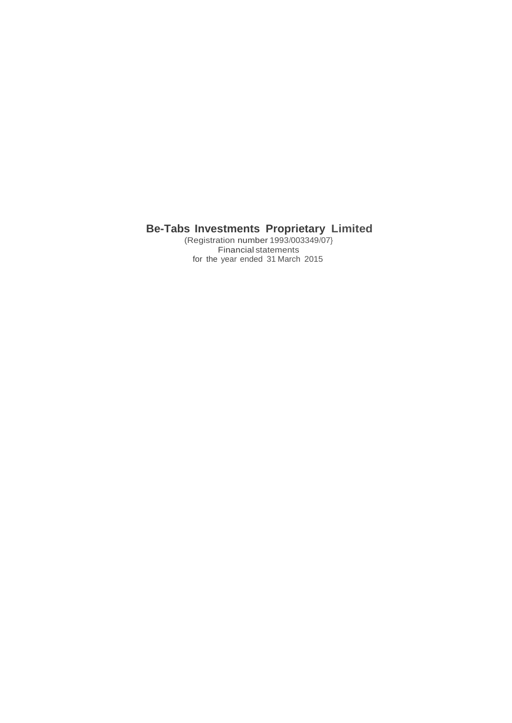(Registration number 1993/003349/07} Financial statements for the year ended 31 March 2015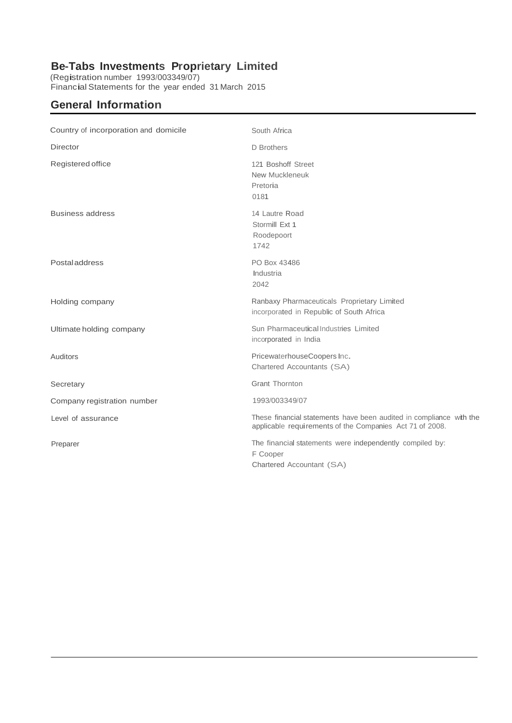(Registration number 1993/003349/07) Financial Statements for the year ended 31 March <sup>2015</sup>

# **General Information**

| Country of incorporation and domicile | South Africa                                                                                                                    |
|---------------------------------------|---------------------------------------------------------------------------------------------------------------------------------|
| <b>Director</b>                       | D Brothers                                                                                                                      |
| Registered office                     | 121 Boshoff Street<br>New Muckleneuk<br>Pretoria<br>0181                                                                        |
| <b>Business address</b>               | 14 Lautre Road<br>Stormill Ext 1<br>Roodepoort<br>1742                                                                          |
| <b>Postaladdress</b>                  | PO Box 43486<br>Industria<br>2042                                                                                               |
| Holding company                       | Ranbaxy Pharmaceuticals Proprietary Limited<br>incorporated in Republic of South Africa                                         |
| Ultimate holding company              | Sun Pharmaceutical Industries Limited<br>incorporated in India                                                                  |
| Auditors                              | PricewaterhouseCoopers Inc.<br>Chartered Accountants (SA)                                                                       |
| Secretary                             | <b>Grant Thornton</b>                                                                                                           |
| Company registration number           | 1993/003349/07                                                                                                                  |
| Level of assurance                    | These financial statements have been audited in compliance with the<br>applicable requirements of the Companies Act 71 of 2008. |
| Preparer                              | The financial statements were independently compiled by:<br>F Cooper<br>Chartered Accountant (SA)                               |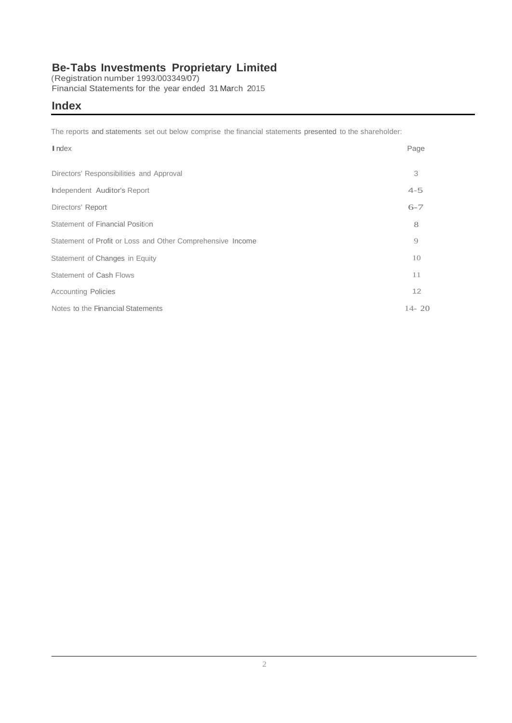(Registration number 1993/003349/07) Financial Statements for the year ended 31 March 2015

### **Index**

The reports and statements set out below comprise the financial statements presented to the shareholder:

| $\blacksquare$ ndex                                        | Page      |
|------------------------------------------------------------|-----------|
| Directors' Responsibilities and Approval                   | 3         |
| Independent Auditor's Report                               | $4 - 5$   |
| Directors' Report                                          | $6 - 7$   |
| Statement of Financial Position                            | 8         |
| Statement of Profit or Loss and Other Comprehensive Income | 9         |
| Statement of Changes in Equity                             | 10        |
| Statement of Cash Flows                                    | 11        |
| <b>Accounting Policies</b>                                 | 12        |
| Notes to the Financial Statements                          | $14 - 20$ |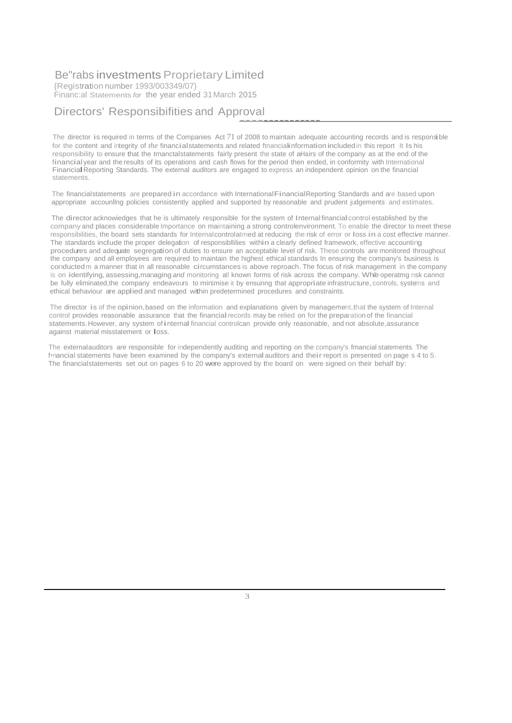{Registration number 1993/003349/07) Financ:al Statements for the year ended 31 March 2015

### Directors' Responsibifities and Approval

The director is required in terms of the Companies Act <sup>71</sup> of <sup>2008</sup> to maintain adequate accounting records and is responsible for the content and integrity of *the* financialstatements and related ftnancialinformation included in this report It Is his responsibility to ensure that the trnanctalstatements fairly present the state of aHairs of the company as at the end of the financial year and the results of its operations and cash flows for the period then ended, in conformity with International Financial Reporting Standards. The external auditors are engaged to express an independent opinion on the financial statements.

---------------

The financialstatements are prepared in accordance with InternationalFinancialReporting Standards and are based upon appropriate accounllng policies consistently applied and supported by reasonable and prudent judgements and estimates.

The director acknowiedges that he is ultimately responsible for the system of Internal financialcontrol established by the company and places considerable Importance on maintaining a strong controlenvironment. To enable the director to meet these responsibilities, the board sets standards for Internalcontrolatmed at reducing the risk of error or loss in <sup>a</sup> cost effective manner. The standards include the proper delegation of responsibllilies within <sup>a</sup> clearly defined framework, effective accounting procedures and adequate segregation of duties to ensure an acceptable level of risk. These controls are monitored throughout the company and all employees are required to maintain the highest ethical standards In ensuring the company's business is conductedm <sup>a</sup> manner that in all reasonable circumstances is above reproach.The focus of risk management in the company is on identifying, assessing, managing *and* monitoring all known forms of risk across the company. Whie operatmg nsk cannot be fully eliminated,the company endeavours to minimise it by ensunng that appropriate infrastructure, controls, systems and ethical behaviour are applied and managed within predetermined procedures and constraints.

The director is of the opinion,based on the information and explanations given by management,that the system of Internal control provides reasonable assurance that the financial records may be relied on for the preparation of the financial statements. However, any system of internal financial controlcan provide only reasonable, and not absolute, assurance against material misstatement or loss.

The externalauditors are responsible for independently auditing and reporting on the company's fmancial statements. The f•nancial statements have been examined by the company's externalauditors and their report is presented on page <sup>s</sup> <sup>4</sup> to 5. The financialstatements set out on pages 6 to 20 were approved by the board on were signed on their behalf by: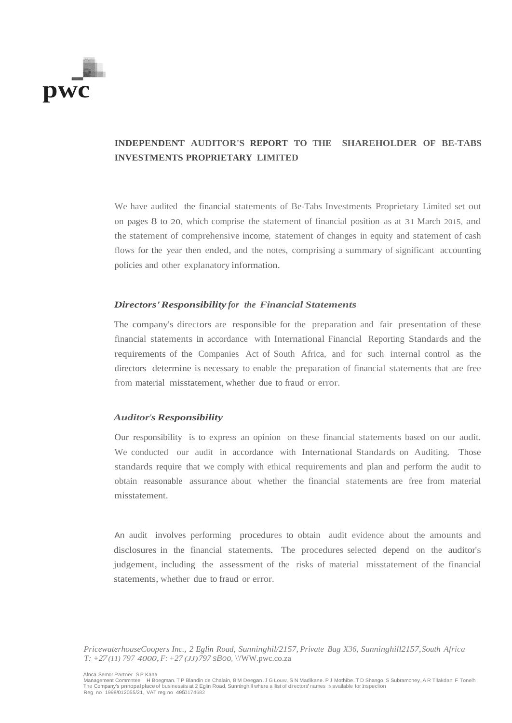

### **INDEPENDENT AUDITOR'S REPORT TO THE SHAREHOLDER OF BE-TABS INVESTMENTS PROPRIETARY LIMITED**

We have audited the financial statements of Be-Tabs Investments Proprietary Limited set out on pages 8 to 20, which comprise the statement of financial position as at 31 March 2015, and the statement of comprehensive income, statement of changes in equity and statement of cash flows for the year then ended, and the notes, comprising a summary of significant accounting policies and other explanatory information.

#### *Directors'Responsibility for the Financial Statements*

The company's directors are responsible for the preparation and fair presentation of these financial statements in accordance with International Financial Reporting Standards and the requirements of the Companies Act of South Africa, and for such internal control as the directors determine is necessary to enable the preparation of financial statements that are free from material misstatement, whether due to fraud or error.

#### *Auditor'sResponsibility*

Our responsibility is to express an opinion on these financial statements based on our audit. We conducted our audit in accordance with International Standards on Auditing. Those standards require that we comply with ethical requirements and plan and perform the audit to obtain reasonable assurance about whether the financial statements are free from material misstatement.

An audit involves performing procedures to obtain audit evidence about the amounts and disclosures in the financial statements. The procedures selected depend on the auditor's judgement, including the assessment of the risks of material misstatement of the financial statements, whether due to fraud or error.

*PricewaterhouseCoopers Inc., 2 Eglin Road, Sunninghil/2157, Private Bag X36, Sunninghill2157,South Africa T: +27(11) 797 4000,F: +27 (JJ)797 sBoo,* \'/WW.pwc.co.za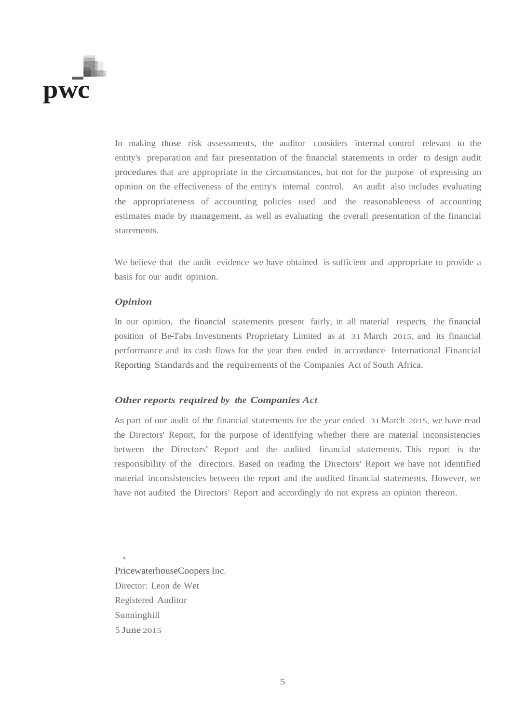

In making those risk assessments, the auditor considers internal control relevant to the entity's preparation and fair presentation of the financial statements in order to design audit procedures that are appropriate in the circumstances, but not for the purpose of expressing an opinion on the effectiveness of the entity's internal control. An audit also includes evaluating the appropriateness of accounting policies used and the reasonableness of accounting estimates made by management, as well as evaluating the overall presentation of the financial statements.

We believe that the audit evidence we have obtained is sufficient and appropriate to provide a basis for our audit opinion.

#### *Opinion*

In our opinion, the financial statements present fairly, in all material respects, the financial position of Be-Tabs Investments Proprietary Limited as at 31 March 2015, and its financial performance and its cash flows for the year then ended in accordance International Financial Reporting Standards and the requirements of the Companies Act of South Africa.

#### *Other reports required by the Companies Act*

As part of our audit of the financial statements for the year ended 31March 2015, we have read the Directors' Report, for the purpose of identifying whether there are material inconsistencies between the Directors' Report and the audited financial statements. This report is the responsibility of the directors. Based on reading the Directors' Report we have not identified material inconsistencies between the report and the audited financial statements. However, we have not audited the Directors' Report and accordingly do not express an opinion thereon.

PricewaterhouseCoopers Inc. Director: Leon de Wet Registered Auditor Sunninghill 5 June 2015

.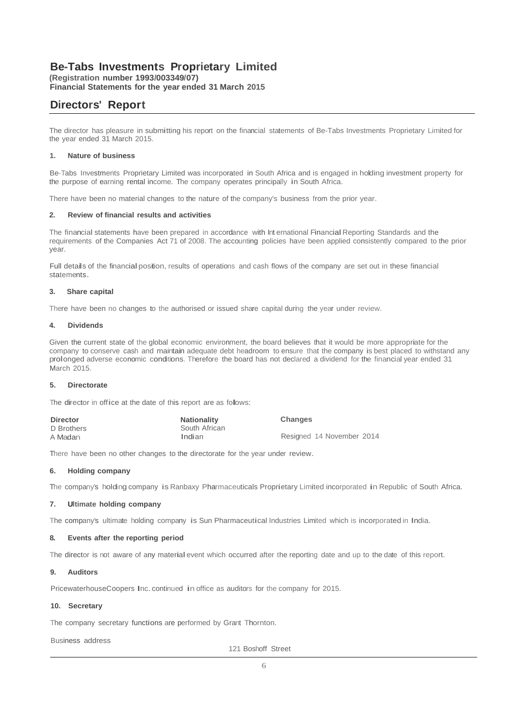**(Registration number 1993/003349/07) Financial Statements for the year ended 31 March 2015**

## **Directors' Report**

The director has pleasure in submitting his report on the financial statements of Be-Tabs Investments Proprietary Limited for the year ended 31 March 2015.

#### **1. Nature of business**

Be-Tabs Investments Proprietary Limited was incorporated in South Africa and is engaged in holding investment property for the purpose of earning rental income. The company operates principally in South Africa.

There have been no material changes to the nature of the company's business from the prior year.

#### **2. Review of financial results and activities**

The financial statements have been prepared in accordance with Int ernational Financial Reporting Standards and the requirements of the Companies Act 71 of 2008. The accounting policies have been applied consistently compared to the prior year.

Full details of the financialposition, results of operations and cash flows of the company are set out in these financial statements.

#### **3. Share capital**

There have been no changes to the authorised or issued share capital during the year under review.

#### **4. Dividends**

Given the current state of the global economic environment, the board believes that it would be more appropriate for the company to conserve cash and maintain adequate debt headroom to ensure that the company is best placed to withstand any prolonged adverse economic conditions. Therefore the board has not declared <sup>a</sup> dividend for the financial year ended <sup>31</sup> March 2015.

#### **5. Directorate**

The director in office at the date of this report are as follows:

| <b>Director</b> | <b>Nationality</b> | Changes                   |
|-----------------|--------------------|---------------------------|
| D Brothers      | South African      |                           |
| A Madan         | Indian             | Resigned 14 November 2014 |

There have been no other changes to the directorate for the year under review.

#### **6. Holding company**

The company's holding company is Ranbaxy Pharmaceuticals Proprietary Limited incorporated in Republic of South Africa.

#### **7. Ultimate holding company**

The company's ultimate holding company is Sun Pharmaceutical Industries Limited which is incorporated in India.

#### **8. Events after the reporting period**

The director is not aware of any material event which occurred after the reporting date and up to the date of this report.

#### **9. Auditors**

PricewaterhouseCoopers Inc. continued in office as auditors for the company for 2015.

#### **10. Secretary**

The company secretary functions are performed by Grant Thornton.

Business address

121 Boshoff Street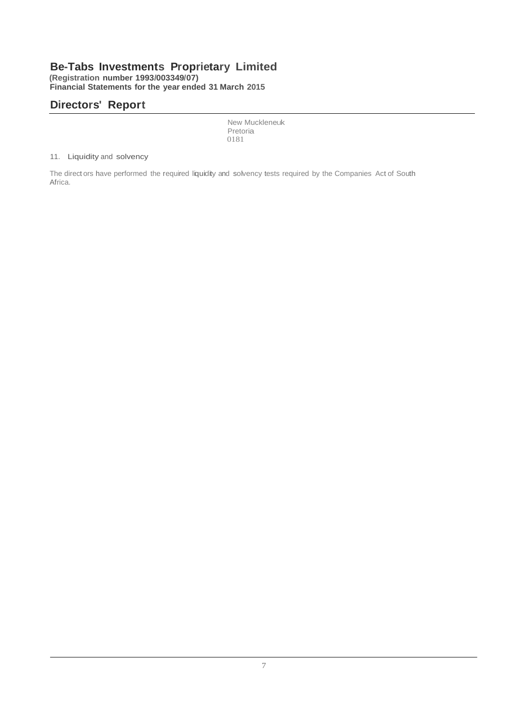**(Registration number 1993/003349/07) Financial Statements for the year ended 31 March 2015**

# **Directors' Report**

New Muckleneuk Pretoria 0181

#### 11. Liquidity and solvency

The direct ors have performed the required liquidity and solvency tests required by the Companies Act of South Africa.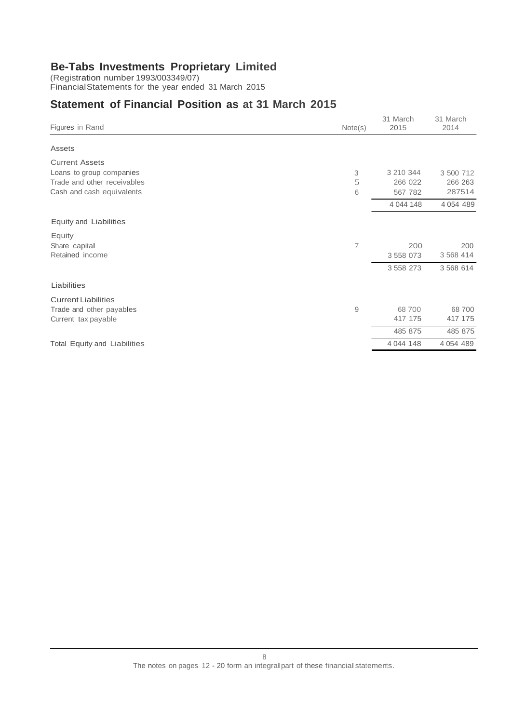(Registration number 1993/003349/07) FinancialStatements for the year ended 31 March 2015

## **Statement of Financial Position as at 31 March 2015**

| Figures in Rand                     | Note(s) | 31 March<br>2015 | 31 March<br>2014 |
|-------------------------------------|---------|------------------|------------------|
| Assets                              |         |                  |                  |
| <b>Current Assets</b>               |         |                  |                  |
| Loans to group companies            | 3       | 3 210 344        | 3 500 712        |
| Trade and other receivables         | 5       | 266 022          | 266 263          |
| Cash and cash equivalents           | 6       | 567 782          | 287514           |
|                                     |         | 4 044 148        | 4 0 54 4 89      |
| Equity and Liabilities              |         |                  |                  |
| Equity                              |         |                  |                  |
| Share capital                       | 7       | 200              | 200              |
| Retained income                     |         | 3 558 073        | 3 5 68 4 14      |
|                                     |         | 3 5 5 8 2 7 3    | 3 568 614        |
| Liabilities                         |         |                  |                  |
| <b>Current Liabilities</b>          |         |                  |                  |
| Trade and other payables            | 9       | 68700            | 68 700           |
| Current tax payable                 |         | 417 175          | 417 175          |
|                                     |         | 485 875          | 485 875          |
| <b>Total Equity and Liabilities</b> |         | 4 044 148        | 4 0 54 4 89      |
|                                     |         |                  |                  |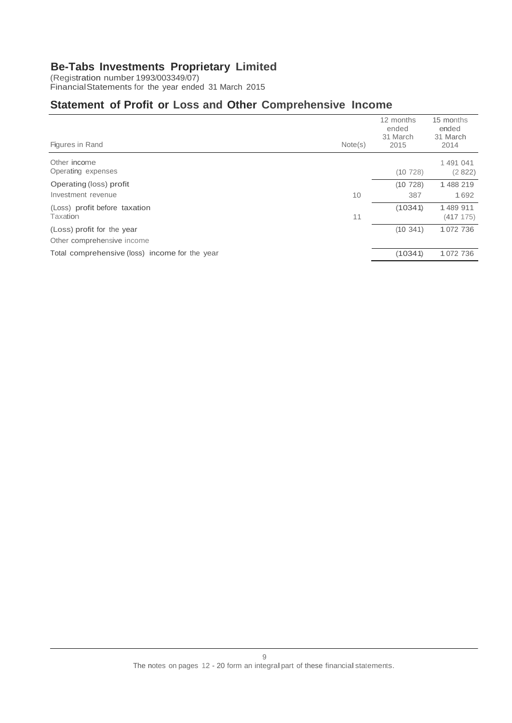(Registration number 1993/003349/07) FinancialStatements for the year ended 31 March 2015

# **Statement of Profit or Loss and Other Comprehensive Income**

| Figures in Rand                                | Note(s) | 12 months<br>ended<br>31 March<br>2015 | 15 months<br>ended<br>31 March<br>2014 |
|------------------------------------------------|---------|----------------------------------------|----------------------------------------|
| Other income<br>Operating expenses             |         | (10728)                                | 1491041<br>(2822)                      |
| Operating (loss) profit                        |         | (10728)                                | 1488219                                |
| Investment revenue                             | 10      | 387                                    | 1692                                   |
| (Loss) profit before taxation                  |         | (10341)                                | 1489 911                               |
| Taxation                                       | 11      |                                        | (417 175)                              |
| (Loss) profit for the year                     |         | (10341)                                | 1072 736                               |
| Other comprehensive income                     |         |                                        |                                        |
| Total comprehensive (loss) income for the year |         | (10341)                                | 1072 736                               |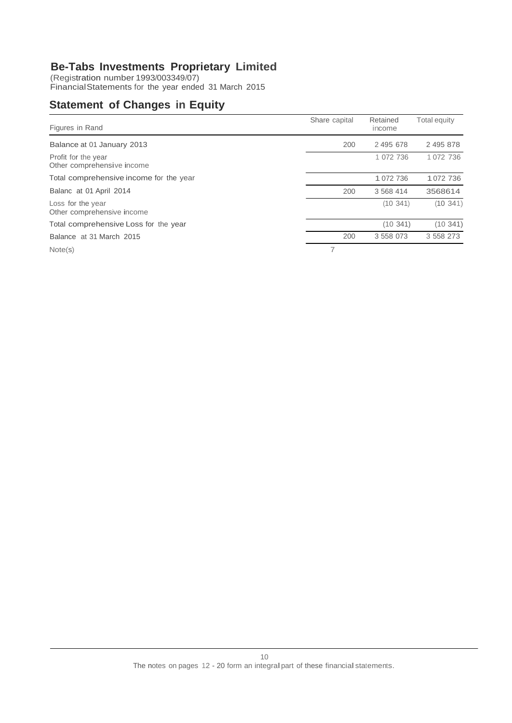(Registration number 1993/003349/07) FinancialStatements for the year ended 31 March 2015

# **Statement of Changes in Equity**

| Figures in Rand                                   | Share capital | Retained<br>income | <b>Total equity</b> |
|---------------------------------------------------|---------------|--------------------|---------------------|
| Balance at 01 January 2013                        | 200           | 2495678            | 2 495 878           |
| Profit for the year<br>Other comprehensive income |               | 1 072 736          | 1 072 736           |
| Total comprehensive income for the year           |               | 1 072 736          | 1072 736            |
| Balanc at 01 April 2014                           | 200           | 3 5 68 4 14        | 3568614             |
| Loss for the year<br>Other comprehensive income   |               | (10, 341)          | (10.341)            |
| Total comprehensive Loss for the year             |               | (10, 341)          | (10341)             |
| Balance at 31 March 2015                          | 200           | 3 558 073          | 3 558 273           |
| Note(s)                                           |               |                    |                     |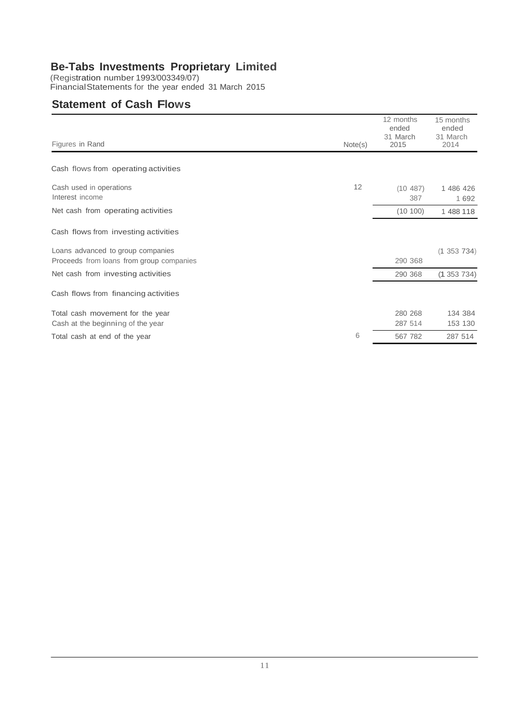(Registration number 1993/003349/07) FinancialStatements for the year ended 31 March 2015

## **Statement of Cash Flows**

| Figures in Rand                            |         | 12 months<br>ended<br>31 March<br>2015 | 15 months<br>ended<br>31 March<br>2014 |
|--------------------------------------------|---------|----------------------------------------|----------------------------------------|
|                                            | Note(s) |                                        |                                        |
| Cash flows from operating activities       |         |                                        |                                        |
| Cash used in operations<br>Interest income | 12      | (10 487)<br>387                        | 1 486 426<br>1 6 9 2                   |
| Net cash from operating activities         |         | (10100)                                | 1 488 118                              |
| Cash flows from investing activities       |         |                                        |                                        |
| Loans advanced to group companies          |         |                                        | $(1\;353\;734)$                        |
| Proceeds from loans from group companies   |         | 290 368                                |                                        |
| Net cash from investing activities         |         | 290 368                                | (1353734)                              |
| Cash flows from financing activities       |         |                                        |                                        |
| Total cash movement for the year           |         | 280 268                                | 134 384                                |
| Cash at the beginning of the year          |         | 287 514                                | 153 130                                |
| Total cash at end of the year              | 6       | 567 782                                | 287 514                                |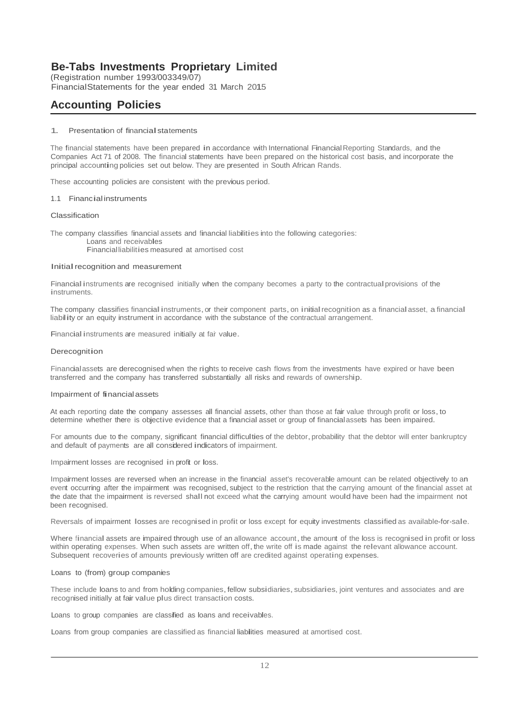(Registration number 1993/003349/07) FinancialStatements for the year ended 31 March 2015

# **Accounting Policies**

#### 1. Presentation of financialstatements

The financial statements have been prepared in accordance with International Financial Reporting Standards, and the Companies Act 71 of 2008. The financial statements have been prepared on the historical cost basis, and incorporate the principal accounting policies set out below. They are presented in South African Rands.

These accounting policies are consistent with the previous period.

#### 1.1 Financial instruments

#### Classification

The company classifies financial assets and financial liabilities into the following categories:

Loans and receivables Financialliabilities measured at amortised cost

#### Initial recognition and measurement

Financial instruments are recognised initially when the company becomes a party to the contractual provisions of the instruments.

The company classifies financial instruments, or their component parts, on initial recognition as a financial asset, a financial liability or an equity instrument in accordance with the substance of the contractual arrangement.

Financial instruments are measured initially at fair value.

#### Derecognition

Financialassets are derecognised when the rights to receive cash flows from the investments have expired or have been transferred and the company has transferred substantially all risks and rewards of ownership.

#### Impairment of financialassets

At each reporting date the company assesses all financial assets, other than those at fair value through profit or loss,to determine whether there is objective evidence that <sup>a</sup> financial asset or group of financialassets has been impaired.

For amounts due to the company, significant financial difficulties of the debtor, probability that the debtor will enter bankruptcy and default of payments are all considered indicators of impairment.

Impairment losses are recognised in profit or loss.

Impairment losses are reversed when an increase in the financial asset's recoverable amount can be related objectively to an event occurring after the impairment was recognised, subject to the restriction that the carrying amount of the financial asset at the date that the impairment is reversed shall not exceed what the carrying amount would have been had the impairment not been recognised.

Reversals of impairment losses are recognised in profit or loss except for equity investments classified as available-for-sale.

Where financial assets are impaired through use of an allowance account, the amount of the loss is recognised in profit or loss within operating expenses. When such assets are written off, the write off is made against the relevant allowance account. Subsequent recoveries of amounts previously written off are credited against operating expenses.

#### Loans to (from) group companies

These include loans to and from holding companies, fellow subsidiaries, subsidiaries, joint ventures and associates and are recognised initially at fair value plus direct transaction costs.

Loans to group companies are classified as loans and receivables.

Loans from group companies are classified as financial liabilities measured at amortised cost.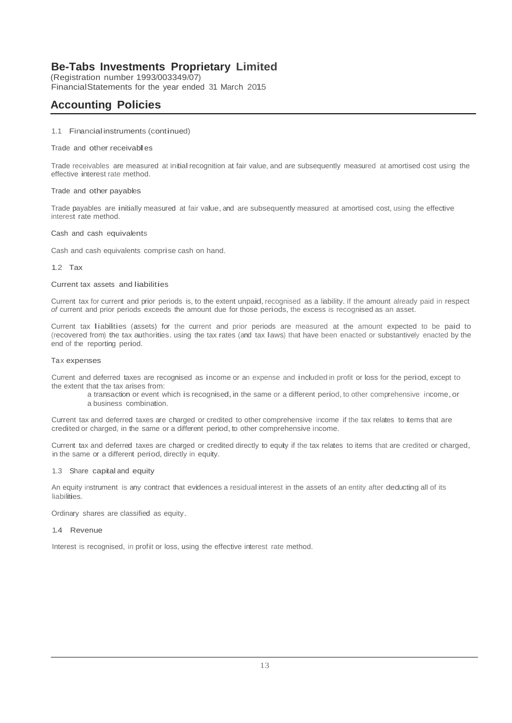(Registration number 1993/003349/07) FinancialStatements for the year ended 31 March 2015

# **Accounting Policies**

#### 1.1 Financialinstruments (continued)

#### Trade and other receivables

Trade receivables are measured at initialrecognition at fair value, and are subsequently measured at amortised cost using the effective interest rate method.

#### Trade and other payables

Trade payables are initially measured at fair value, and are subsequently measured at amortised cost, using the effective interest rate method.

#### Cash and cash equivalents

Cash and cash equivalents comprise cash on hand.

1.2 Tax

#### Current tax assets and liabilities

Current tax for current and prior periods is, to the extent unpaid, recognised as a liability. If the amount already paid in respect *of* current and prior periods exceeds the amount due for those periods, the excess is recognised as an asset.

Current tax liabilities (assets) for the current and prior periods are measured at the amount expected to be paid to (recovered from) the tax authorities. using the tax rates (and tax laws) that have been enacted or substantively enacted by the end of the reporting period.

#### Tax expenses

Current and deferred taxes are recognised as income or an expense and included in profit or loss for the period,except to the extent that the tax arises from:

a transaction or event which is recognised, in the same or a different period, to other comprehensive income, or a business combination.

Current tax and deferred taxes are charged or credited to other comprehensive income if the tax relates to items that are credited or charged, in the same or a different period, to other comprehensive income.

Current tax and deferred taxes are charged or credited directly to equity if the tax relates to items that are credited or charged, in the same or <sup>a</sup> different period, directly in equity.

1.3 Share capital and equity

An equity instrument is any contract that evidences a residual interest in the assets of an entity after deducting all of its liabilities.

Ordinary shares are classified as equity.

#### 1.4 Revenue

Interest is recognised, in profit or loss, using the effective interest rate method.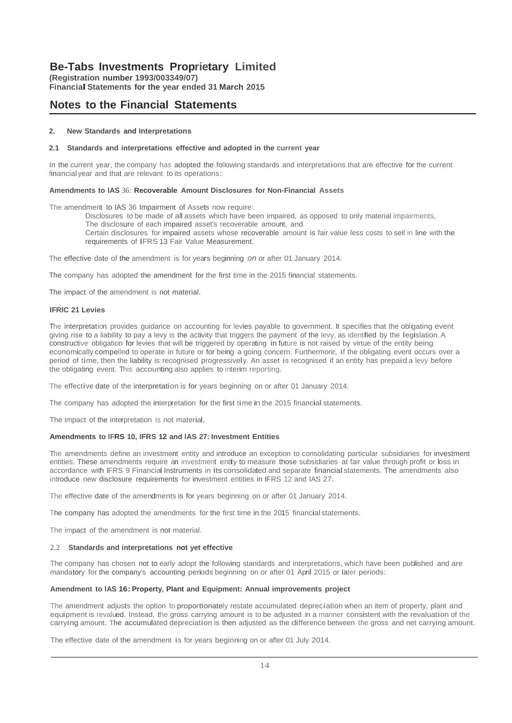**(Registration number 1993/003349/07) FinancialStatements for the year ended <sup>31</sup> March <sup>2015</sup>**

## **Notes to the Financial Statements**

#### **2. New Standards and Interpretations**

#### **2.1 Standards and interpretations effective and adopted in the current year**

In the current year, the company has adopted the following standards and interpretations that are effective for the current financial year and that are relevant to its operations:

#### **Amendments to lAS** 36: **Recoverable Amount Disclosures for Non-Financial Assets**

The amendment to lAS 36 Impairment of Assets now require:

Disclosures to be made of all assets which have been impaired, as opposed to only material impairments, The disclosure of each impaired asset's recoverable amount, and

Certain disclosures for impaired assets whose recoverable amount is fair value less costs to sell in line with the requirements of IFRS <sup>13</sup> Fair Value Measurement.

The effective date of the amendment is for years beginning *on* or after 01 January 2014.

The company has adopted the amendment for the first time in the 2015 financial statements.

The impact of the amendment is not material.

#### **IFRIC 21 Levies**

The interpretation provides guidance on accounting for levies payable to government. It specifies that the obligating event giving rise to <sup>a</sup> liability to pay <sup>a</sup> levy is the activity that triggers the payment of the levy, as identified by the legislation.A constructive obligation for levies that will be triggered by operating **in** future is not raised by virtue of the entity being economically compelled to operate in future or for being <sup>a</sup> going concern. Furthermore, if the obligating event occurs over <sup>a</sup> period of time, then the liability is recognised progressively. An asset is recognised if an entity has prepaid <sup>a</sup> levy before the obligating event. This accounting also applies to interim reporting.

The effective date of the interpretation is for years beginning on or after <sup>01</sup> January 2014.

The company has adopted the interpretation for the first time in the 2015 financial statements.

The impact of the interpretation is not material.

#### **Amendments to IFRS 10, IFRS 12 and lAS 27: Investment Entities**

The amendments define an investment entity and introduce an exception to consolidating particular subsidiaries for investment entities. These amendments require an investment entity to measure those subsidiaries at fair value through profit or loss in accordance with IFRS 9 Financial Instruments in its consolidated and separate financial statements. The amendments also introduce new disclosure requirements for investment entities in IFRS 12 and lAS 27.

The effective date of the amendments is for years beginning on or after 01 January 2014.

The company has adopted the amendments for the first time in the 2015 financialstatements.

The impact of the amendment is not material.

#### 2.2 **Standards and interpretations not yet effective**

The company has chosen not to early adopt the following standards and interpretations,which have been published and are mandatory for the company's accounting periods beginning on or after 01 April 2015 or later periods:

#### **Amendment to lAS 16:Property, Plant and Equipment: Annual improvements project**

The amendment adjusts the option to proportionately restate accumulated depreciation when an item of property, plant and equipment is revalued. Instead, the gross carrying amount is to be adjusted in <sup>a</sup> manner consistent with the revaluation of the carrying amount. The accumulated depreciation is then adjusted as the difference between the gross and net carrying amount.

The effective date of the amendment is for years beginning on or after <sup>01</sup> July 2014.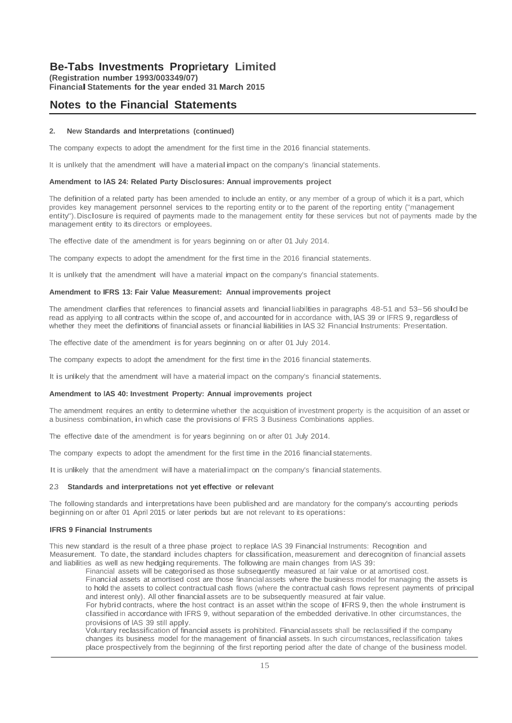**(Registration number 1993/003349/07) FinancialStatements for the year ended <sup>31</sup> March <sup>2015</sup>**

### **Notes to the Financial Statements**

#### **2. New Standards and Interpretations (continued)**

The company expects to adopt the amendment for the first time in the 2016 financial statements.

It is unlkely that the amendment will have a material impact on the company's financial statements.

#### **Amendment to lAS 24: Related Party Disclosures: Annual improvements project**

The definition of <sup>a</sup> related party has been amended to include an entity, or any member of <sup>a</sup> group of which it is <sup>a</sup> part, which provides key management personnel services to the reporting entity or to the parent of the reporting entity ("management entity").Disclosure is required of payments made to the management entity for these services but not of payments made by the management entity to its directors or employees.

The effective date of the amendment is for years beginning on or after 01 July 2014.

The company expects to adopt the amendment for the first time in the 2016 financial statements.

It is unlkely that the amendment will have a material impact on the company's financial statements.

#### **Amendment to IFRS 13: Fair Value Measurement: Annual improvements project**

The amendment clarifies that references to financial assets and financialliabilities in paragraphs 48-51 and 53-56 should be read as applying to all contracts within the scope of, and accounted for in accordance with, IAS 39 or IFRS 9, regardless of whether they meet the definitions of financial assets or financial liabilities in IAS 32 Financial Instruments: Presentation.

The effective date of the amendment is for years beginning on or after <sup>01</sup> July 2014.

The company expects to adopt the amendment for the first time in the 2016 financial statements.

It is unlikely that the amendment will have <sup>a</sup> material impact on the company's financial statements.

#### **Amendment to lAS 40: Investment Property: Annual improvements project**

The amendment requires an entity to determine whether the acquisition of investment property is the acquisition of an asset or a business combination, in which case the provisions of IFRS 3 Business Combinations applies.

The effective date of the amendment is for years beginning on or after 01 July 2014.

The company expects to adopt the amendment for the first time in the 2016 financial statements.

It is unlikely that the amendment will have a material impact on the company's financial statements.

#### 2.3 **Standards and interpretations not yet effective or relevant**

The following standards and interpretations have been published and are mandatory for the company's accounting periods beginning on or after <sup>01</sup> April <sup>2015</sup> or later periods but are not relevant to its operations:

#### **IFRS 9 Financial Instruments**

This new standard is the result of <sup>a</sup> three phase project to replace lAS <sup>39</sup> Financial Instruments: Recognition and Measurement. To date, the standard includes chapters for classification, measurement and derecognition of financial assets and liabilities as well as new hedging requirements. The following are main changes from lAS 39:

Financial assets will be categorised as those subsequently measured at fair value or at amortised cost.

Financial assets at amortised cost are those financialassets where the business model for managing the assets is to hold the assets to collect contractual cash flows (where the contractual cash flows represent payments of principal and interest only). All other financialassets are to be subsequently measured at fair value.

For hybrid contracts, where the host contract is an asset within the scope of IFRS 9, then the whole instrument is classified in accordance with IFRS 9, without separation of the embedded derivative.In other circumstances, the provisions of lAS <sup>39</sup> still apply.

Voluntary reclassification of financial assets is prohibited. Financialassets shall be reclassified if the company changes its business model for the management of financial assets. In such circumstances,reclassification takes place prospectively from the beginning of the first reporting period after the date of change of the business model.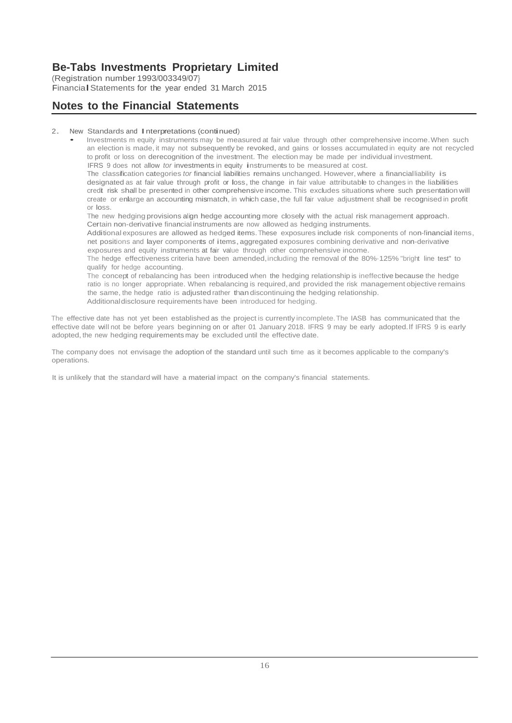(Registration number 1993/003349/07} FinancialStatements for the year ended <sup>31</sup> March <sup>2015</sup>

# **Notes to the Financial Statements**

#### 2. New Standards and Interpretations (continued)

• Investments <sup>m</sup> equity instruments may be measured at fair value through other comprehensive income.When such an election is made, it may not subsequently be revoked, and gains or losses accumulated in equity are not recycled to profit or loss on derecognition of the investment. The election may be made per individual investment. IFRS <sup>9</sup> does not allow *tor* investments in equity instruments to be measured at cost.

The classification categories *tor* financial liabilities remains unchanged. However, where <sup>a</sup> financialliability is designated as at fair value through profit or loss, the change in fair value attributable to changes in the liabilities credit risk shall be presented in other comprehensive income.This excludes situations where such presentation will create or enlarge an accounting mismatch, in which case, the full fair value adjustment shall be recognised in profit or loss.

The new hedging provisions align hedge accounting more closely with the actual risk management approach. Certain non-derivative financial instruments are now allowed as hedging instruments.

Additional exposures are allowed as hedged items. These exposures include risk components of non-financial items, net positions and layer components of items,aggregated exposures combining derivative and non-derivative exposures and equity instruments at fair value through other comprehensive income.

The hedge effectiveness criteria have been amended,including the removal of the 80%·125% "bright line test" to qualify for hedge accounting.

The concept of rebalancing has been introduced when the hedging relationship is ineffective because the hedge ratio is no longer appropriate. When rebalancing is required, and provided the risk management objective remains the same, the hedge ratio is adjusted rather thandiscontinuing the hedging relationship. Additionaldisclosure requirements have been introduced for hedging.

The effective date has not yet been established as the project is currently incomplete.The IASB has communicated that the effective date will not be before years beginning on or after 01 January 2018. IFRS 9 may be early adopted.If IFRS 9 is early adopted, the new hedging requirements may be excluded until the effective date.

The company does not envisage the adoption of the standard until such time as it becomes applicable to the company's operations.

It is unlikely that the standard will have a material impact on the company's financial statements.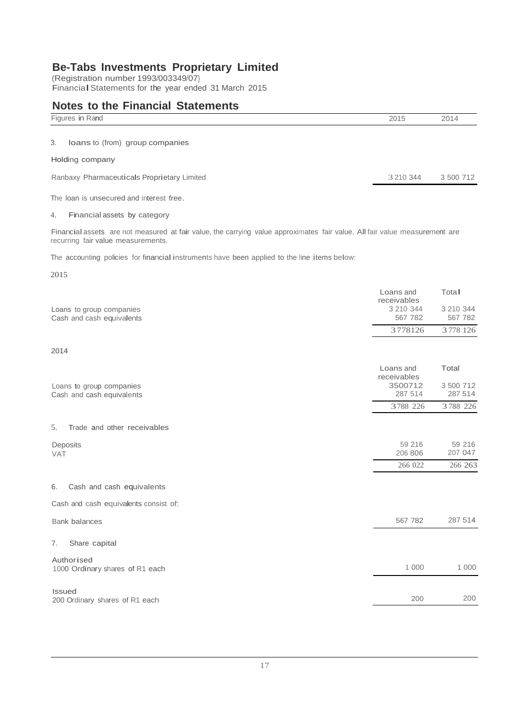(Registration number 1993/003349/07} FinancialStatements for the year ended <sup>31</sup> March <sup>2015</sup>

### **Notes to the Financial Statements**

| Figures in Rand                             | 2015      | 2014      |
|---------------------------------------------|-----------|-----------|
| loans to (from) group companies<br>3.       |           |           |
| Holding company                             |           |           |
| Ranbaxy Pharmaceuticals Proprietary Limited | 3 210 344 | 3 500 712 |
|                                             |           |           |

The loan is unsecured and interest free.

### 4. Financial assets by category

Financial assets are not measured at fair value, the carrying value approximates fair value. All fair value measurement are recurring fair value measurements.

The accounting policies for financial instruments have been applied to the line items below:

2015

|                                                       | Loans and                           | Tota <sub>II</sub>   |
|-------------------------------------------------------|-------------------------------------|----------------------|
| Loans to group companies<br>Cash and cash equivalents | receivables<br>3 210 344<br>567 782 | 3 210 344<br>567 782 |
|                                                       | 3778126                             | 3778 126             |
| 2014                                                  |                                     |                      |
| Loans to group companies                              | Loans and<br>receivables<br>3500712 | Total<br>3 500 712   |
| Cash and cash equivalents                             | 287 514                             | 287 514              |
|                                                       | 3788 226                            | 3788 226             |
| Trade and other receivables<br>5.                     |                                     |                      |
| Deposits<br><b>VAT</b>                                | 59 216<br>206 806                   | 59 216<br>207 047    |
|                                                       | 266 022                             | 266 263              |
| Cash and cash equivalents<br>6.                       |                                     |                      |
| Cash and cash equivalents consist of:                 |                                     |                      |
| <b>Bank balances</b>                                  | 567 782                             | 287 514              |
| Share capital<br>7.                                   |                                     |                      |
| Authorised<br>1000 Ordinary shares of R1 each         | 1 000                               | 1 0 0 0              |
| <b>Issued</b><br>200 Ordinary shares of R1 each       | 200                                 | 200                  |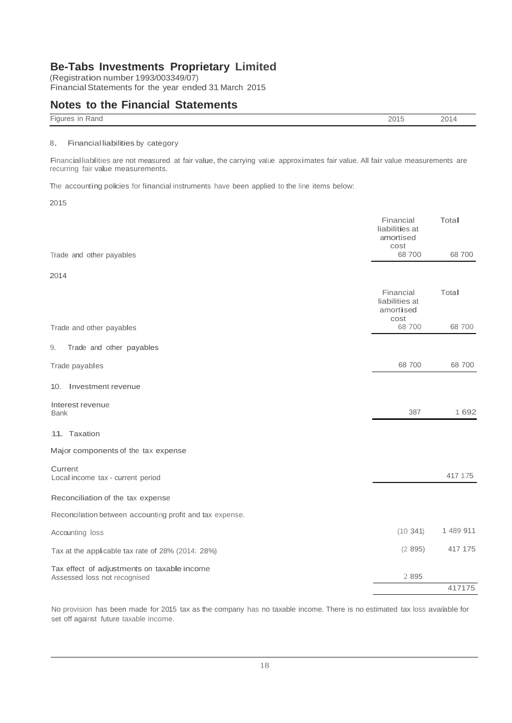(Registration number 1993/003349/07) FinancialStatements for the year ended 31March 2015

### **Notes to the Financial Statements**

| <b>Figures</b><br>Rand<br>` If⊾ | 201F<br>כ וי | 2014<br>__ |
|---------------------------------|--------------|------------|
|                                 |              |            |

#### 8. Financialliabilities by category

Financialliabilities are not measured at fair value, the carrying value approximates fair value. All fair value measurements are recurring fair value measurements.

The accounting policies for financial instruments have been applied to the line items below:

2015

|                                                                             | Financial<br>liabilities at<br>amortised         | Total     |
|-----------------------------------------------------------------------------|--------------------------------------------------|-----------|
| Trade and other payables                                                    | cost<br>68700                                    | 68 700    |
| 2014                                                                        |                                                  |           |
|                                                                             | Financial<br>liabilities at<br>amortised<br>cost | Total     |
| Trade and other payables                                                    | 68 700                                           | 68 700    |
| 9.<br>Trade and other payables                                              |                                                  |           |
| Trade payables                                                              | 68 700                                           | 68 700    |
| 10. Investment revenue                                                      |                                                  |           |
| Interest revenue<br><b>Bank</b>                                             | 387                                              | 1 6 9 2   |
| 11. Taxation                                                                |                                                  |           |
| Major components of the tax expense                                         |                                                  |           |
| Current<br>Local income tax - current period                                |                                                  | 417 175   |
| Reconciliation of the tax expense                                           |                                                  |           |
| Reconciliation between accounting profit and tax expense.                   |                                                  |           |
| Accounting loss                                                             | (10341)                                          | 1 489 911 |
| Tax at the applicable tax rate of 28% (2014: 28%)                           | (2895)                                           | 417 175   |
| Tax effect of adjustments on taxable income<br>Assessed loss not recognised | 2 8 9 5                                          |           |
|                                                                             |                                                  | 417175    |

No provision has been made for 2015 tax as the company has no taxable income. There is no estimated tax loss available for set off against future taxable income.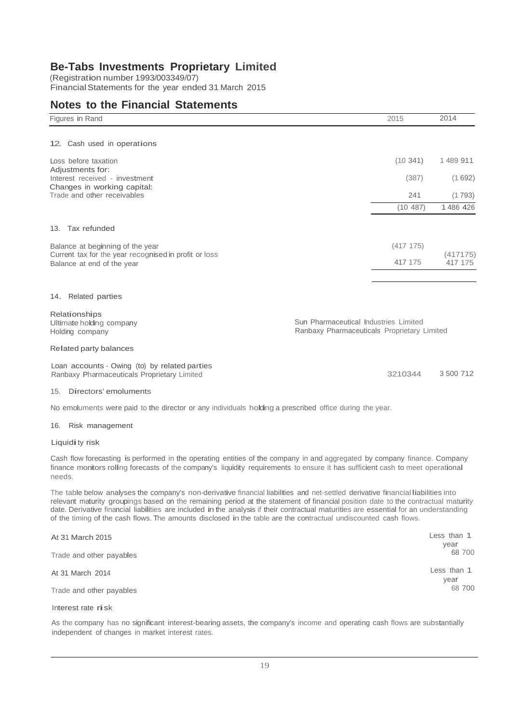(Registration number 1993/003349/07) FinancialStatements for the year ended 31March 2015

### **Notes to the Financial Statements**

| Figures in Rand                                                                                                                                                                                                                                                                                                                                                                                                                                                                                                                      | 2015      | 2014           |
|--------------------------------------------------------------------------------------------------------------------------------------------------------------------------------------------------------------------------------------------------------------------------------------------------------------------------------------------------------------------------------------------------------------------------------------------------------------------------------------------------------------------------------------|-----------|----------------|
| 12. Cash used in operations                                                                                                                                                                                                                                                                                                                                                                                                                                                                                                          |           |                |
| Loss before taxation                                                                                                                                                                                                                                                                                                                                                                                                                                                                                                                 | (10.341)  | 1489 911       |
| Adjustments for:                                                                                                                                                                                                                                                                                                                                                                                                                                                                                                                     |           |                |
| Interest received - investment<br>Changes in working capital:                                                                                                                                                                                                                                                                                                                                                                                                                                                                        | (387)     | (1692)         |
| Trade and other receivables                                                                                                                                                                                                                                                                                                                                                                                                                                                                                                          | 241       | (1793)         |
|                                                                                                                                                                                                                                                                                                                                                                                                                                                                                                                                      | (10 487)  | 1486 426       |
| 13. Tax refunded                                                                                                                                                                                                                                                                                                                                                                                                                                                                                                                     |           |                |
| Balance at beginning of the year                                                                                                                                                                                                                                                                                                                                                                                                                                                                                                     | (417 175) |                |
| Current tax for the year recognised in profit or loss                                                                                                                                                                                                                                                                                                                                                                                                                                                                                |           | (417175)       |
| Balance at end of the year                                                                                                                                                                                                                                                                                                                                                                                                                                                                                                           | 417 175   | 417 175        |
| 14. Related parties                                                                                                                                                                                                                                                                                                                                                                                                                                                                                                                  |           |                |
|                                                                                                                                                                                                                                                                                                                                                                                                                                                                                                                                      |           |                |
| Relationships<br>Sun Pharmaceutical Industries Limited<br>Ultimate holding company                                                                                                                                                                                                                                                                                                                                                                                                                                                   |           |                |
| Ranbaxy Pharmaceuticals Proprietary Limited<br>Holding company                                                                                                                                                                                                                                                                                                                                                                                                                                                                       |           |                |
| Related party balances                                                                                                                                                                                                                                                                                                                                                                                                                                                                                                               |           |                |
| Loan accounts - Owing (to) by related parties<br>Ranbaxy Pharmaceuticals Proprietary Limited                                                                                                                                                                                                                                                                                                                                                                                                                                         | 3210344   | 3 500 712      |
| 15. Directors' emoluments                                                                                                                                                                                                                                                                                                                                                                                                                                                                                                            |           |                |
| No emoluments were paid to the director or any individuals holding a prescribed office during the year.                                                                                                                                                                                                                                                                                                                                                                                                                              |           |                |
| 16. Risk management                                                                                                                                                                                                                                                                                                                                                                                                                                                                                                                  |           |                |
| Liquidi ty risk                                                                                                                                                                                                                                                                                                                                                                                                                                                                                                                      |           |                |
| Cash flow forecasting is performed in the operating entities of the company in and aggregated by company finance. Company<br>finance monitors rolling forecasts of the company's liquidity requirements to ensure it has sufficient cash to meet operational<br>needs.                                                                                                                                                                                                                                                               |           |                |
| The table below analyses the company's non-derivative financial liabilities and net-settled derivative financial liabilities into<br>relevant maturity groupings based on the remaining period at the statement of financial position date to the contractual maturity<br>date. Derivative financial liabilities are included in the analysis if their contractual maturities are essential for an understanding<br>of the timing of the cash flows. The amounts disclosed in the table are the contractual undiscounted cash flows. |           |                |
| At 31 March 2015                                                                                                                                                                                                                                                                                                                                                                                                                                                                                                                     |           | Less than 1    |
| Trade and other payables                                                                                                                                                                                                                                                                                                                                                                                                                                                                                                             |           | year<br>68 700 |
| At 31 March 2014                                                                                                                                                                                                                                                                                                                                                                                                                                                                                                                     |           | Less than 1    |
| Trade and other payables                                                                                                                                                                                                                                                                                                                                                                                                                                                                                                             |           | year<br>68 700 |
| Interest rate risk                                                                                                                                                                                                                                                                                                                                                                                                                                                                                                                   |           |                |

As the company has no significant interest-bearing assets, the company's income and operating cash flows are substantially independent of changes in market interest rates.